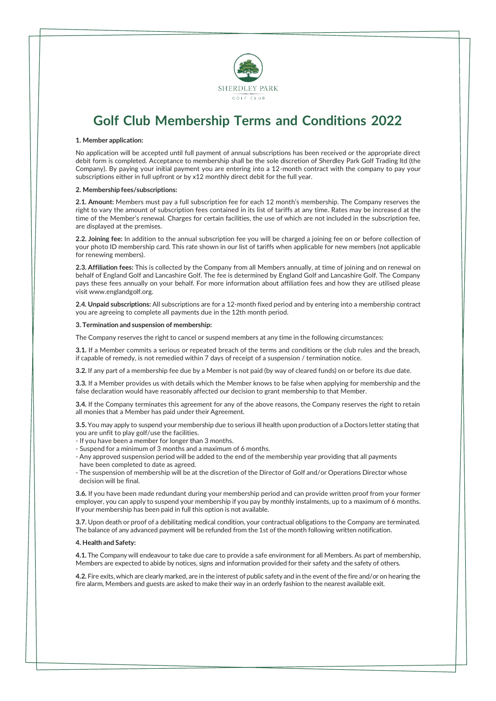

# **Golf Club Membership Terms and Conditions 2022**

### **1. Member application:**

No application will be accepted until full payment of annual subscriptions has been received or the appropriate direct debit form is completed. Acceptance to membership shall be the sole discretion of Sherdley Park Golf Trading ltd (the Company). By paying your initial payment you are entering into a 12-month contract with the company to pay your subscriptions either in full upfront or by x12 monthly direct debit for the full year.

#### **2. Membership fees/subscriptions:**

**2.1. Amount:** Members must pay a full subscription fee for each 12 month's membership. The Company reserves the right to vary the amount of subscription fees contained in its list of tariffs at any time. Rates may be increased at the time of the Member's renewal. Charges for certain facilities, the use of which are not included in the subscription fee, are displayed at the premises.

**2.2. Joining fee:** In addition to the annual subscription fee you will be charged a joining fee on or before collection of your photo ID membership card. This rate shown in our list of tariffs when applicable for new members (not applicable for renewing members).

**2.3.Affiliation fees:** This is collected by the Company from all Members annually, at time of joining and on renewal on behalf of England Golf and Lancashire Golf. The fee is determined by England Golf and Lancashire Golf. The Company pays these fees annually on your behalf. For more information about affiliation fees and how they are utilised please visit [www.englandgolf.org.](http://www.englandgolf.org/)

**2.4. Unpaid subscriptions:** All subscriptions are for a 12-month fixed period and by entering into a membership contract you are agreeing to complete all payments due in the 12th month period.

#### **3. Termination and suspension of membership:**

The Company reserves the right to cancel or suspend members at any time in the following circumstances:

**3.1.** If a Member commits a serious or repeated breach of the terms and conditions or the club rules and the breach, if capable of remedy, is not remedied within 7 days of receipt of a suspension / termination notice.

**3.2.** If any part of a membership fee due by a Member is not paid (by way of cleared funds) on or before its due date.

**3.3.** If a Member provides us with details which the Member knows to be false when applying for membership and the false declaration would have reasonably affected our decision to grant membership to that Member.

**3.4.** If the Company terminates this agreement for any of the above reasons, the Company reserves the right to retain all monies that a Member has paid under their Agreement.

**3.5.** You may apply to suspend your membership due to serious ill health upon production of a Doctors letter stating that you are unfit to play golf/use the facilities.

- -If you have been a member for longer than 3 months.
- Suspend for a minimum of 3 months and a maximum of 6 months.
- Any approved suspension period will be added to the end of the membership year providing that all payments have been completed to date as agreed.
- The suspension of membership will be at the discretion of the Director of Golf and/or Operations Director whose decision will be final.

**3.6.** If you have been made redundant during your membership period and can provide written proof from your former employer, you can apply to suspend your membership if you pay by monthly instalments, up to a maximum of 6 months. If your membership has been paid in full this option is not available.

**3.7.** Upon death or proof of a debilitating medical condition, your contractual obligations to the Company are terminated. The balance of any advanced payment will be refunded from the 1st of the month following written notification.

#### **4. Health and Safety:**

**4.1.** The Company will endeavour to take due care to provide a safe environment for all Members. As part of membership, Members are expected to abide by notices, signs and information provided for their safety and the safety of others.

**4.2.** Fire exits,which are clearly marked, are in the interest of public safety and in the event ofthe fire and/or on hearing the fire alarm, Members and guests are asked to make their way in an orderly fashion to the nearest available exit.